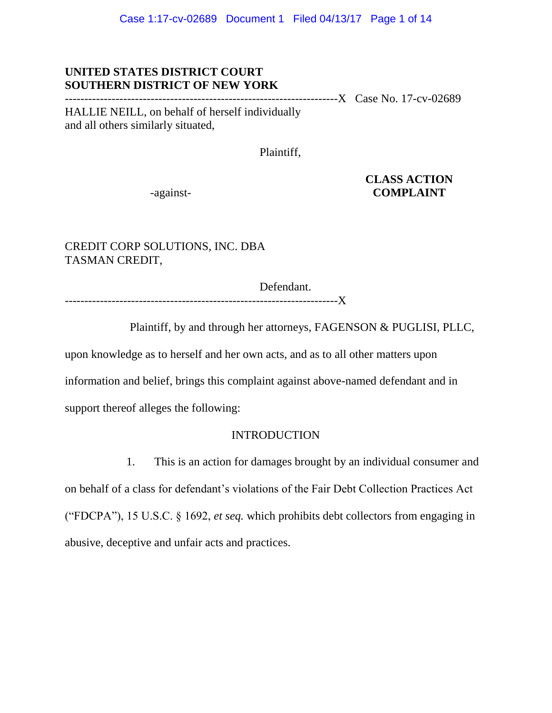## **UNITED STATES DISTRICT COURT SOUTHERN DISTRICT OF NEW YORK**

----------------------------------------------------------------------X Case No. 17-cv-02689

HALLIE NEILL, on behalf of herself individually and all others similarly situated,

Plaintiff,

 **CLASS ACTION** -against- **COMPLAINT**

CREDIT CORP SOLUTIONS, INC. DBA TASMAN CREDIT,

Defendant.

----------------------------------------------------------------------X

Plaintiff, by and through her attorneys, FAGENSON & PUGLISI, PLLC,

upon knowledge as to herself and her own acts, and as to all other matters upon

information and belief, brings this complaint against above-named defendant and in

support thereof alleges the following:

## INTRODUCTION

1. This is an action for damages brought by an individual consumer and

on behalf of a class for defendant's violations of the Fair Debt Collection Practices Act ("FDCPA"), 15 U.S.C. § 1692, *et seq.* which prohibits debt collectors from engaging in abusive, deceptive and unfair acts and practices.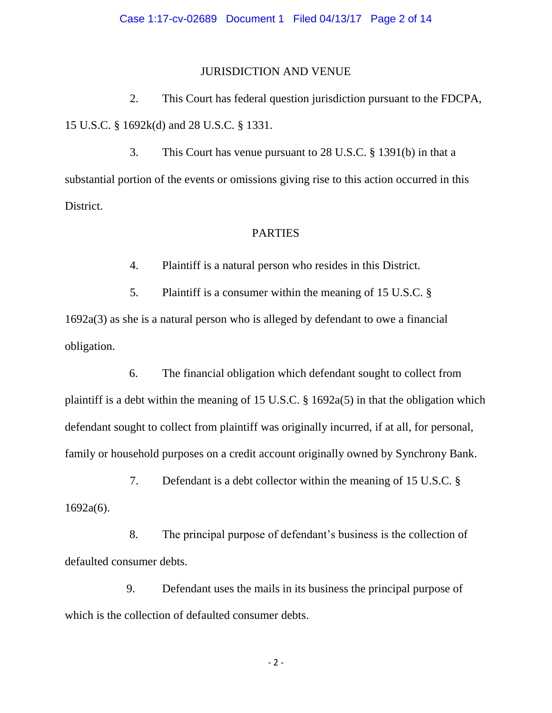#### JURISDICTION AND VENUE

2. This Court has federal question jurisdiction pursuant to the FDCPA, 15 U.S.C. § 1692k(d) and 28 U.S.C. § 1331.

3. This Court has venue pursuant to 28 U.S.C. § 1391(b) in that a substantial portion of the events or omissions giving rise to this action occurred in this District.

## PARTIES

4. Plaintiff is a natural person who resides in this District.

5. Plaintiff is a consumer within the meaning of 15 U.S.C. § 1692a(3) as she is a natural person who is alleged by defendant to owe a financial

obligation.

 6. The financial obligation which defendant sought to collect from plaintiff is a debt within the meaning of 15 U.S.C. § 1692a(5) in that the obligation which defendant sought to collect from plaintiff was originally incurred, if at all, for personal, family or household purposes on a credit account originally owned by Synchrony Bank.

7. Defendant is a debt collector within the meaning of 15 U.S.C. § 1692a(6).

 8. The principal purpose of defendant's business is the collection of defaulted consumer debts.

 9. Defendant uses the mails in its business the principal purpose of which is the collection of defaulted consumer debts.

- 2 -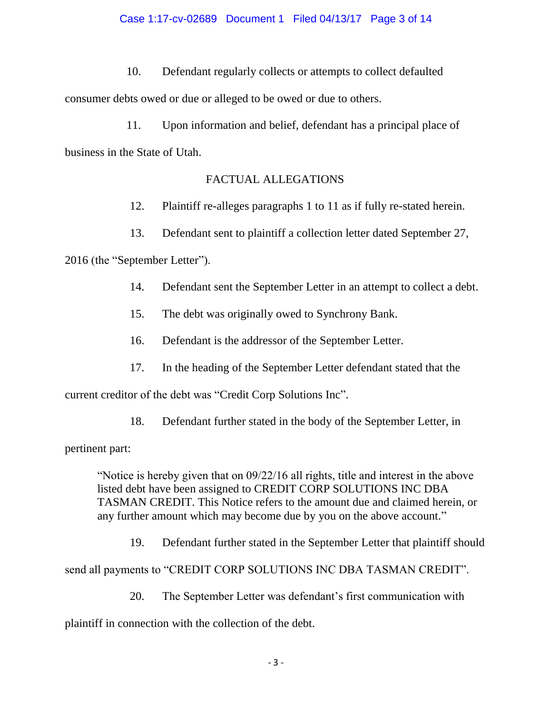10. Defendant regularly collects or attempts to collect defaulted

consumer debts owed or due or alleged to be owed or due to others.

 11. Upon information and belief, defendant has a principal place of business in the State of Utah.

# FACTUAL ALLEGATIONS

- 12. Plaintiff re-alleges paragraphs 1 to 11 as if fully re-stated herein.
- 13. Defendant sent to plaintiff a collection letter dated September 27,

2016 (the "September Letter").

- 14. Defendant sent the September Letter in an attempt to collect a debt.
- 15. The debt was originally owed to Synchrony Bank.
- 16. Defendant is the addressor of the September Letter.
- 17. In the heading of the September Letter defendant stated that the

current creditor of the debt was "Credit Corp Solutions Inc".

18. Defendant further stated in the body of the September Letter, in

pertinent part:

"Notice is hereby given that on 09/22/16 all rights, title and interest in the above listed debt have been assigned to CREDIT CORP SOLUTIONS INC DBA TASMAN CREDIT. This Notice refers to the amount due and claimed herein, or any further amount which may become due by you on the above account."

19. Defendant further stated in the September Letter that plaintiff should

send all payments to "CREDIT CORP SOLUTIONS INC DBA TASMAN CREDIT".

20. The September Letter was defendant's first communication with

plaintiff in connection with the collection of the debt.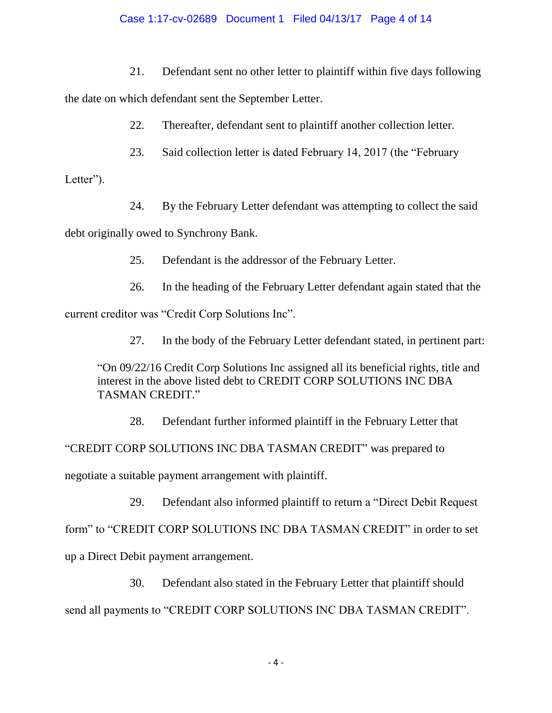## Case 1:17-cv-02689 Document 1 Filed 04/13/17 Page 4 of 14

21. Defendant sent no other letter to plaintiff within five days following

the date on which defendant sent the September Letter.

22. Thereafter, defendant sent to plaintiff another collection letter.

23. Said collection letter is dated February 14, 2017 (the "February

Letter").

24. By the February Letter defendant was attempting to collect the said

debt originally owed to Synchrony Bank.

25. Defendant is the addressor of the February Letter.

26. In the heading of the February Letter defendant again stated that the

current creditor was "Credit Corp Solutions Inc".

27. In the body of the February Letter defendant stated, in pertinent part:

"On 09/22/16 Credit Corp Solutions Inc assigned all its beneficial rights, title and interest in the above listed debt to CREDIT CORP SOLUTIONS INC DBA TASMAN CREDIT."

28. Defendant further informed plaintiff in the February Letter that "CREDIT CORP SOLUTIONS INC DBA TASMAN CREDIT" was prepared to negotiate a suitable payment arrangement with plaintiff.

29. Defendant also informed plaintiff to return a "Direct Debit Request form" to "CREDIT CORP SOLUTIONS INC DBA TASMAN CREDIT" in order to set up a Direct Debit payment arrangement.

30. Defendant also stated in the February Letter that plaintiff should send all payments to "CREDIT CORP SOLUTIONS INC DBA TASMAN CREDIT".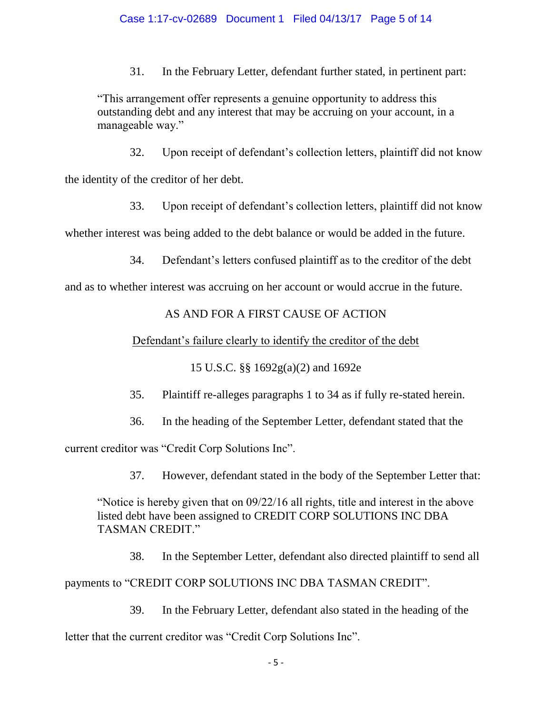## Case 1:17-cv-02689 Document 1 Filed 04/13/17 Page 5 of 14

31. In the February Letter, defendant further stated, in pertinent part:

"This arrangement offer represents a genuine opportunity to address this outstanding debt and any interest that may be accruing on your account, in a manageable way."

32. Upon receipt of defendant's collection letters, plaintiff did not know

the identity of the creditor of her debt.

33. Upon receipt of defendant's collection letters, plaintiff did not know

whether interest was being added to the debt balance or would be added in the future.

34. Defendant's letters confused plaintiff as to the creditor of the debt

and as to whether interest was accruing on her account or would accrue in the future.

## AS AND FOR A FIRST CAUSE OF ACTION

Defendant's failure clearly to identify the creditor of the debt

15 U.S.C. §§ 1692g(a)(2) and 1692e

35. Plaintiff re-alleges paragraphs 1 to 34 as if fully re-stated herein.

36. In the heading of the September Letter, defendant stated that the

current creditor was "Credit Corp Solutions Inc".

37. However, defendant stated in the body of the September Letter that:

"Notice is hereby given that on 09/22/16 all rights, title and interest in the above listed debt have been assigned to CREDIT CORP SOLUTIONS INC DBA TASMAN CREDIT."

38. In the September Letter, defendant also directed plaintiff to send all

payments to "CREDIT CORP SOLUTIONS INC DBA TASMAN CREDIT".

39. In the February Letter, defendant also stated in the heading of the

letter that the current creditor was "Credit Corp Solutions Inc".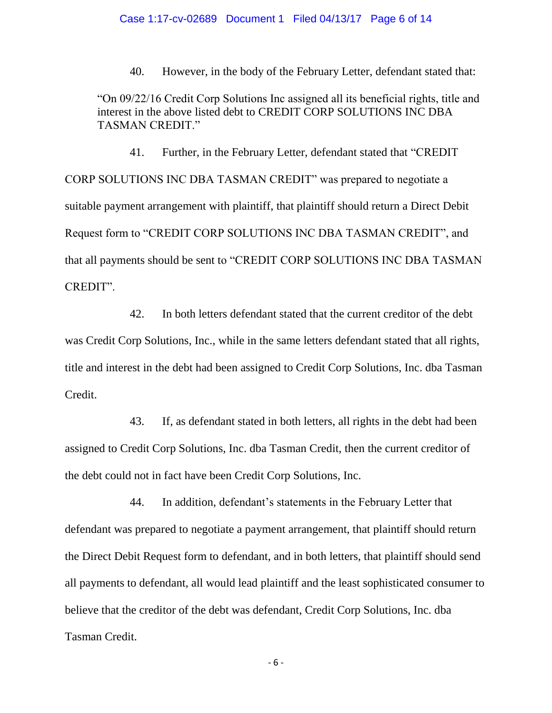40. However, in the body of the February Letter, defendant stated that:

"On 09/22/16 Credit Corp Solutions Inc assigned all its beneficial rights, title and interest in the above listed debt to CREDIT CORP SOLUTIONS INC DBA TASMAN CREDIT"

41. Further, in the February Letter, defendant stated that "CREDIT CORP SOLUTIONS INC DBA TASMAN CREDIT" was prepared to negotiate a suitable payment arrangement with plaintiff, that plaintiff should return a Direct Debit Request form to "CREDIT CORP SOLUTIONS INC DBA TASMAN CREDIT", and that all payments should be sent to "CREDIT CORP SOLUTIONS INC DBA TASMAN CREDIT".

42. In both letters defendant stated that the current creditor of the debt was Credit Corp Solutions, Inc., while in the same letters defendant stated that all rights, title and interest in the debt had been assigned to Credit Corp Solutions, Inc. dba Tasman Credit.

43. If, as defendant stated in both letters, all rights in the debt had been assigned to Credit Corp Solutions, Inc. dba Tasman Credit, then the current creditor of the debt could not in fact have been Credit Corp Solutions, Inc.

44. In addition, defendant's statements in the February Letter that defendant was prepared to negotiate a payment arrangement, that plaintiff should return the Direct Debit Request form to defendant, and in both letters, that plaintiff should send all payments to defendant, all would lead plaintiff and the least sophisticated consumer to believe that the creditor of the debt was defendant, Credit Corp Solutions, Inc. dba Tasman Credit.

- 6 -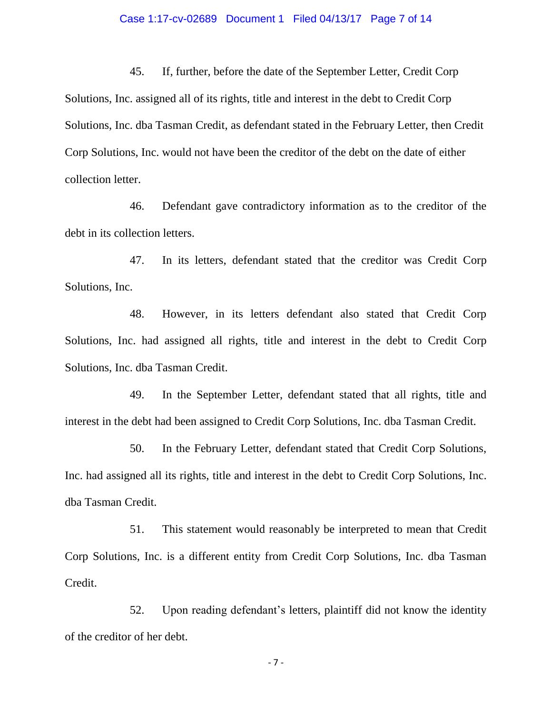#### Case 1:17-cv-02689 Document 1 Filed 04/13/17 Page 7 of 14

45. If, further, before the date of the September Letter, Credit Corp Solutions, Inc. assigned all of its rights, title and interest in the debt to Credit Corp Solutions, Inc. dba Tasman Credit, as defendant stated in the February Letter, then Credit Corp Solutions, Inc. would not have been the creditor of the debt on the date of either collection letter.

46. Defendant gave contradictory information as to the creditor of the debt in its collection letters.

47. In its letters, defendant stated that the creditor was Credit Corp Solutions, Inc.

48. However, in its letters defendant also stated that Credit Corp Solutions, Inc. had assigned all rights, title and interest in the debt to Credit Corp Solutions, Inc. dba Tasman Credit.

49. In the September Letter, defendant stated that all rights, title and interest in the debt had been assigned to Credit Corp Solutions, Inc. dba Tasman Credit.

50. In the February Letter, defendant stated that Credit Corp Solutions, Inc. had assigned all its rights, title and interest in the debt to Credit Corp Solutions, Inc. dba Tasman Credit.

51. This statement would reasonably be interpreted to mean that Credit Corp Solutions, Inc. is a different entity from Credit Corp Solutions, Inc. dba Tasman Credit.

52. Upon reading defendant's letters, plaintiff did not know the identity of the creditor of her debt.

- 7 -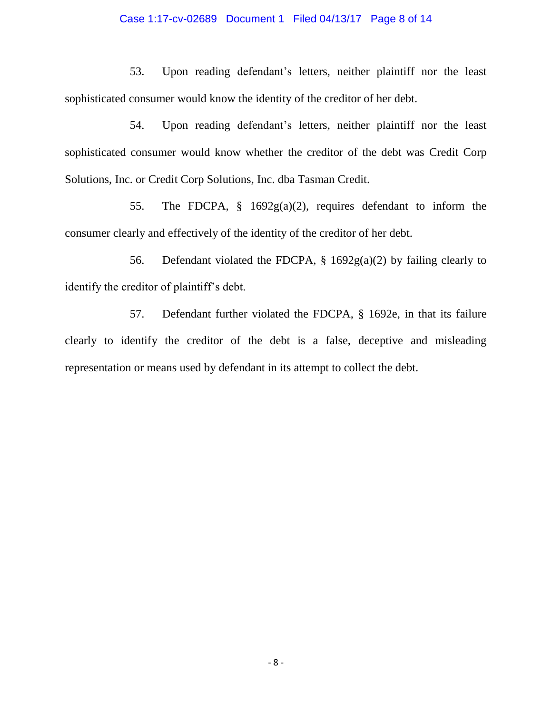#### Case 1:17-cv-02689 Document 1 Filed 04/13/17 Page 8 of 14

53. Upon reading defendant's letters, neither plaintiff nor the least sophisticated consumer would know the identity of the creditor of her debt.

54. Upon reading defendant's letters, neither plaintiff nor the least sophisticated consumer would know whether the creditor of the debt was Credit Corp Solutions, Inc. or Credit Corp Solutions, Inc. dba Tasman Credit.

55. The FDCPA, § 1692g(a)(2), requires defendant to inform the consumer clearly and effectively of the identity of the creditor of her debt.

56. Defendant violated the FDCPA,  $\S$  1692g(a)(2) by failing clearly to identify the creditor of plaintiff's debt.

57. Defendant further violated the FDCPA, § 1692e, in that its failure clearly to identify the creditor of the debt is a false, deceptive and misleading representation or means used by defendant in its attempt to collect the debt.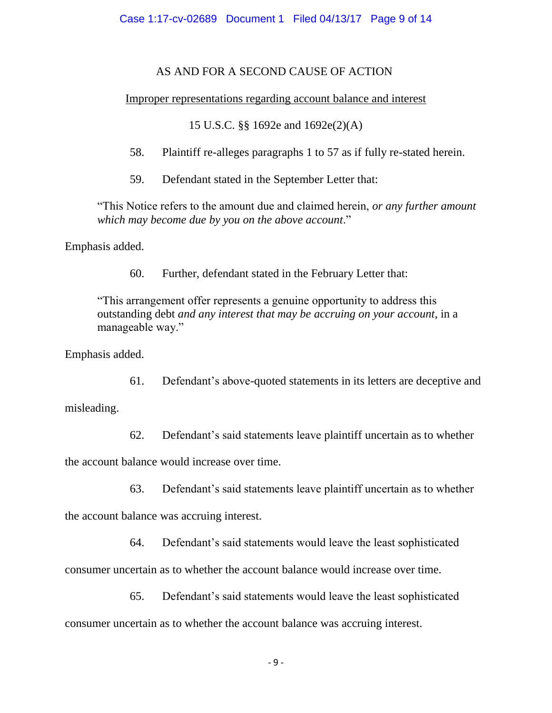# AS AND FOR A SECOND CAUSE OF ACTION

# Improper representations regarding account balance and interest

15 U.S.C. §§ 1692e and 1692e(2)(A)

58. Plaintiff re-alleges paragraphs 1 to 57 as if fully re-stated herein.

59. Defendant stated in the September Letter that:

"This Notice refers to the amount due and claimed herein, *or any further amount which may become due by you on the above account*."

Emphasis added.

60. Further, defendant stated in the February Letter that:

"This arrangement offer represents a genuine opportunity to address this outstanding debt *and any interest that may be accruing on your account*, in a manageable way."

Emphasis added.

61. Defendant's above-quoted statements in its letters are deceptive and

misleading.

62. Defendant's said statements leave plaintiff uncertain as to whether

the account balance would increase over time.

63. Defendant's said statements leave plaintiff uncertain as to whether

the account balance was accruing interest.

64. Defendant's said statements would leave the least sophisticated

consumer uncertain as to whether the account balance would increase over time.

65. Defendant's said statements would leave the least sophisticated

consumer uncertain as to whether the account balance was accruing interest.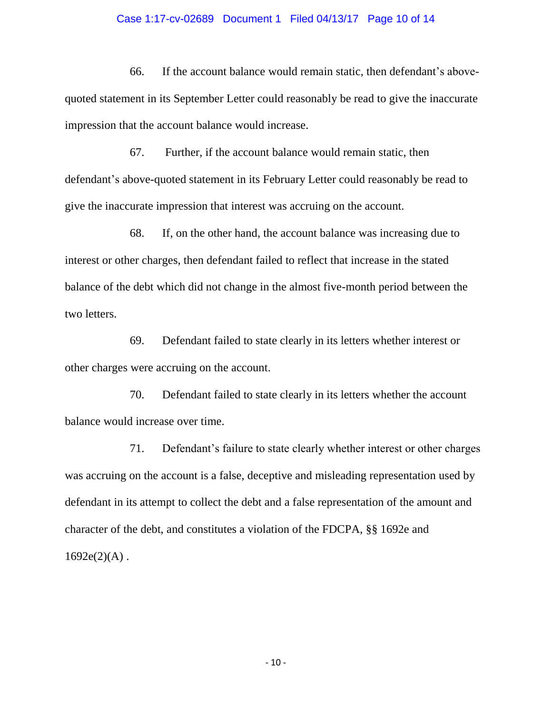#### Case 1:17-cv-02689 Document 1 Filed 04/13/17 Page 10 of 14

66. If the account balance would remain static, then defendant's abovequoted statement in its September Letter could reasonably be read to give the inaccurate impression that the account balance would increase.

67. Further, if the account balance would remain static, then defendant's above-quoted statement in its February Letter could reasonably be read to give the inaccurate impression that interest was accruing on the account.

68. If, on the other hand, the account balance was increasing due to interest or other charges, then defendant failed to reflect that increase in the stated balance of the debt which did not change in the almost five-month period between the two letters.

69. Defendant failed to state clearly in its letters whether interest or other charges were accruing on the account.

70. Defendant failed to state clearly in its letters whether the account balance would increase over time.

71. Defendant's failure to state clearly whether interest or other charges was accruing on the account is a false, deceptive and misleading representation used by defendant in its attempt to collect the debt and a false representation of the amount and character of the debt, and constitutes a violation of the FDCPA, §§ 1692e and  $1692e(2)(A)$ .

- 10 -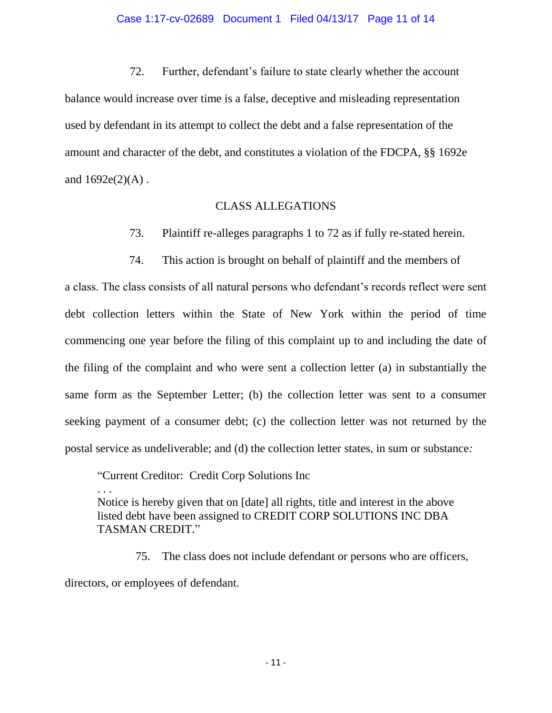#### Case 1:17-cv-02689 Document 1 Filed 04/13/17 Page 11 of 14

72. Further, defendant's failure to state clearly whether the account balance would increase over time is a false, deceptive and misleading representation used by defendant in its attempt to collect the debt and a false representation of the amount and character of the debt, and constitutes a violation of the FDCPA, §§ 1692e and  $1692e(2)(A)$ .

## CLASS ALLEGATIONS

- 73. Plaintiff re-alleges paragraphs 1 to 72 as if fully re-stated herein.
- 74. This action is brought on behalf of plaintiff and the members of

a class. The class consists of all natural persons who defendant's records reflect were sent debt collection letters within the State of New York within the period of time commencing one year before the filing of this complaint up to and including the date of the filing of the complaint and who were sent a collection letter (a) in substantially the same form as the September Letter; (b) the collection letter was sent to a consumer seeking payment of a consumer debt; (c) the collection letter was not returned by the postal service as undeliverable; and (d) the collection letter states, in sum or substance*:* 

"Current Creditor: Credit Corp Solutions Inc . . . Notice is hereby given that on [date] all rights, title and interest in the above listed debt have been assigned to CREDIT CORP SOLUTIONS INC DBA TASMAN CREDIT."

 75. The class does not include defendant or persons who are officers, directors, or employees of defendant.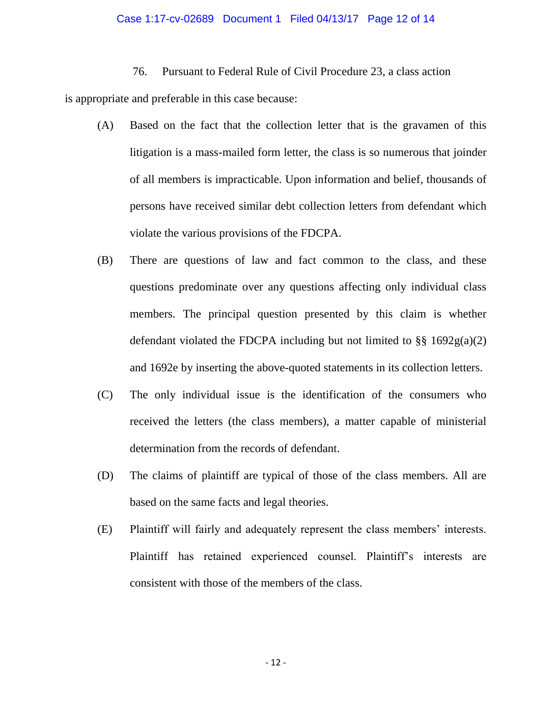#### Case 1:17-cv-02689 Document 1 Filed 04/13/17 Page 12 of 14

#### 76. Pursuant to Federal Rule of Civil Procedure 23, a class action

is appropriate and preferable in this case because:

- (A) Based on the fact that the collection letter that is the gravamen of this litigation is a mass-mailed form letter, the class is so numerous that joinder of all members is impracticable. Upon information and belief, thousands of persons have received similar debt collection letters from defendant which violate the various provisions of the FDCPA.
- (B) There are questions of law and fact common to the class, and these questions predominate over any questions affecting only individual class members. The principal question presented by this claim is whether defendant violated the FDCPA including but not limited to  $\S\S 1692g(a)(2)$ and 1692e by inserting the above-quoted statements in its collection letters.
- (C) The only individual issue is the identification of the consumers who received the letters (the class members), a matter capable of ministerial determination from the records of defendant.
- (D) The claims of plaintiff are typical of those of the class members. All are based on the same facts and legal theories.
- (E) Plaintiff will fairly and adequately represent the class members' interests. Plaintiff has retained experienced counsel. Plaintiff's interests are consistent with those of the members of the class.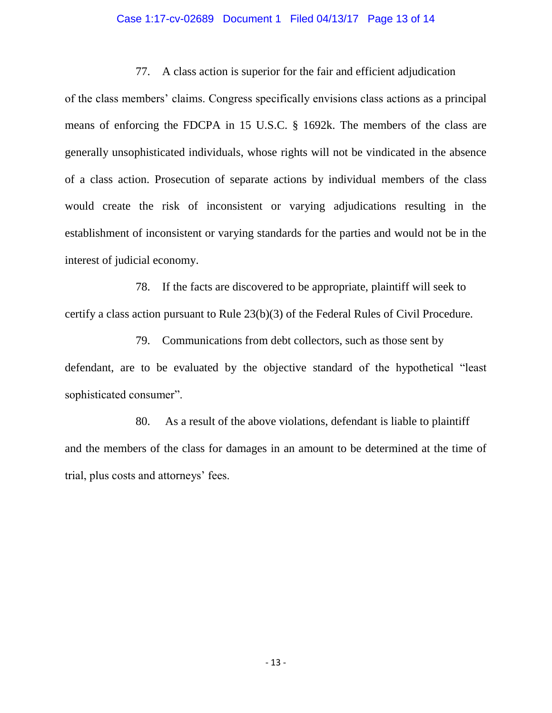## Case 1:17-cv-02689 Document 1 Filed 04/13/17 Page 13 of 14

## 77. A class action is superior for the fair and efficient adjudication

of the class members' claims. Congress specifically envisions class actions as a principal means of enforcing the FDCPA in 15 U.S.C. § 1692k. The members of the class are generally unsophisticated individuals, whose rights will not be vindicated in the absence of a class action. Prosecution of separate actions by individual members of the class would create the risk of inconsistent or varying adjudications resulting in the establishment of inconsistent or varying standards for the parties and would not be in the interest of judicial economy.

 78. If the facts are discovered to be appropriate, plaintiff will seek to certify a class action pursuant to Rule 23(b)(3) of the Federal Rules of Civil Procedure.

 79. Communications from debt collectors, such as those sent by defendant, are to be evaluated by the objective standard of the hypothetical "least sophisticated consumer".

 80. As a result of the above violations, defendant is liable to plaintiff and the members of the class for damages in an amount to be determined at the time of trial, plus costs and attorneys' fees.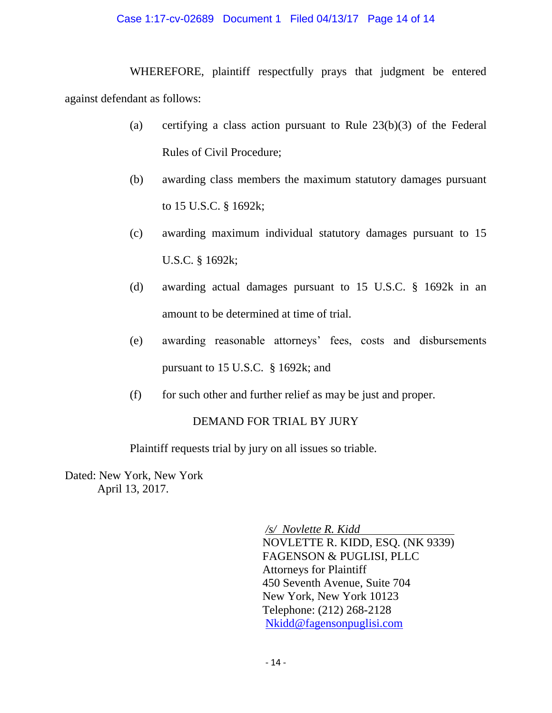## Case 1:17-cv-02689 Document 1 Filed 04/13/17 Page 14 of 14

WHEREFORE, plaintiff respectfully prays that judgment be entered against defendant as follows:

- (a) certifying a class action pursuant to Rule 23(b)(3) of the Federal Rules of Civil Procedure;
- (b) awarding class members the maximum statutory damages pursuant to 15 U.S.C. § 1692k;
- (c) awarding maximum individual statutory damages pursuant to 15 U.S.C. § 1692k;
- (d) awarding actual damages pursuant to 15 U.S.C. § 1692k in an amount to be determined at time of trial.
- (e) awarding reasonable attorneys' fees, costs and disbursements pursuant to 15 U.S.C. § 1692k; and
- (f) for such other and further relief as may be just and proper.

## DEMAND FOR TRIAL BY JURY

Plaintiff requests trial by jury on all issues so triable.

Dated: New York, New York April 13, 2017.

> */s/ Novlette R. Kidd*  NOVLETTE R. KIDD, ESQ. (NK 9339) FAGENSON & PUGLISI, PLLC Attorneys for Plaintiff 450 Seventh Avenue, Suite 704 New York, New York 10123 Telephone: (212) 268-2128 Nkidd@fagensonpuglisi.com